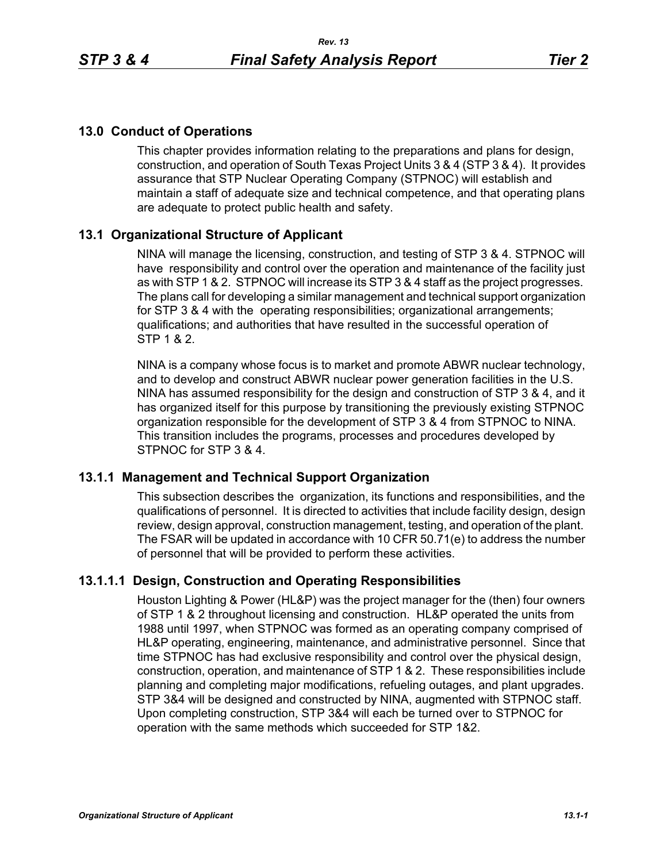# **13.0 Conduct of Operations**

This chapter provides information relating to the preparations and plans for design, construction, and operation of South Texas Project Units 3 & 4 (STP 3 & 4). It provides assurance that STP Nuclear Operating Company (STPNOC) will establish and maintain a staff of adequate size and technical competence, and that operating plans are adequate to protect public health and safety.

# **13.1 Organizational Structure of Applicant**

NINA will manage the licensing, construction, and testing of STP 3 & 4. STPNOC will have responsibility and control over the operation and maintenance of the facility just as with STP 1 & 2. STPNOC will increase its STP 3 & 4 staff as the project progresses. The plans call for developing a similar management and technical support organization for STP 3 & 4 with the operating responsibilities; organizational arrangements; qualifications; and authorities that have resulted in the successful operation of STP 1 & 2.

NINA is a company whose focus is to market and promote ABWR nuclear technology, and to develop and construct ABWR nuclear power generation facilities in the U.S. NINA has assumed responsibility for the design and construction of STP 3 & 4, and it has organized itself for this purpose by transitioning the previously existing STPNOC organization responsible for the development of STP 3 & 4 from STPNOC to NINA. This transition includes the programs, processes and procedures developed by STPNOC for STP 3 & 4.

# **13.1.1 Management and Technical Support Organization**

This subsection describes the organization, its functions and responsibilities, and the qualifications of personnel. It is directed to activities that include facility design, design review, design approval, construction management, testing, and operation of the plant. The FSAR will be updated in accordance with 10 CFR 50.71(e) to address the number of personnel that will be provided to perform these activities.

# **13.1.1.1 Design, Construction and Operating Responsibilities**

Houston Lighting & Power (HL&P) was the project manager for the (then) four owners of STP 1 & 2 throughout licensing and construction. HL&P operated the units from 1988 until 1997, when STPNOC was formed as an operating company comprised of HL&P operating, engineering, maintenance, and administrative personnel. Since that time STPNOC has had exclusive responsibility and control over the physical design, construction, operation, and maintenance of STP 1 & 2. These responsibilities include planning and completing major modifications, refueling outages, and plant upgrades. STP 3&4 will be designed and constructed by NINA, augmented with STPNOC staff. Upon completing construction, STP 3&4 will each be turned over to STPNOC for operation with the same methods which succeeded for STP 1&2.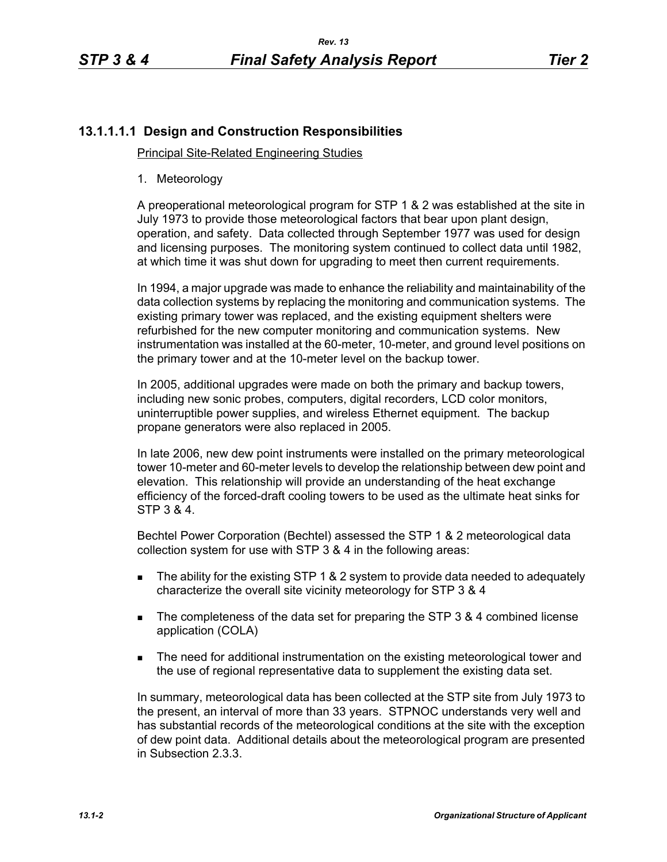# **13.1.1.1.1 Design and Construction Responsibilities**

## Principal Site-Related Engineering Studies

1. Meteorology

A preoperational meteorological program for STP 1 & 2 was established at the site in July 1973 to provide those meteorological factors that bear upon plant design, operation, and safety. Data collected through September 1977 was used for design and licensing purposes. The monitoring system continued to collect data until 1982, at which time it was shut down for upgrading to meet then current requirements.

In 1994, a major upgrade was made to enhance the reliability and maintainability of the data collection systems by replacing the monitoring and communication systems. The existing primary tower was replaced, and the existing equipment shelters were refurbished for the new computer monitoring and communication systems. New instrumentation was installed at the 60-meter, 10-meter, and ground level positions on the primary tower and at the 10-meter level on the backup tower.

In 2005, additional upgrades were made on both the primary and backup towers, including new sonic probes, computers, digital recorders, LCD color monitors, uninterruptible power supplies, and wireless Ethernet equipment. The backup propane generators were also replaced in 2005.

In late 2006, new dew point instruments were installed on the primary meteorological tower 10-meter and 60-meter levels to develop the relationship between dew point and elevation. This relationship will provide an understanding of the heat exchange efficiency of the forced-draft cooling towers to be used as the ultimate heat sinks for STP 3 & 4.

Bechtel Power Corporation (Bechtel) assessed the STP 1 & 2 meteorological data collection system for use with STP 3 & 4 in the following areas:

- The ability for the existing STP 1 & 2 system to provide data needed to adequately characterize the overall site vicinity meteorology for STP 3 & 4
- The completeness of the data set for preparing the STP 3 & 4 combined license application (COLA)
- **The need for additional instrumentation on the existing meteorological tower and** the use of regional representative data to supplement the existing data set.

In summary, meteorological data has been collected at the STP site from July 1973 to the present, an interval of more than 33 years. STPNOC understands very well and has substantial records of the meteorological conditions at the site with the exception of dew point data. Additional details about the meteorological program are presented in Subsection 2.3.3.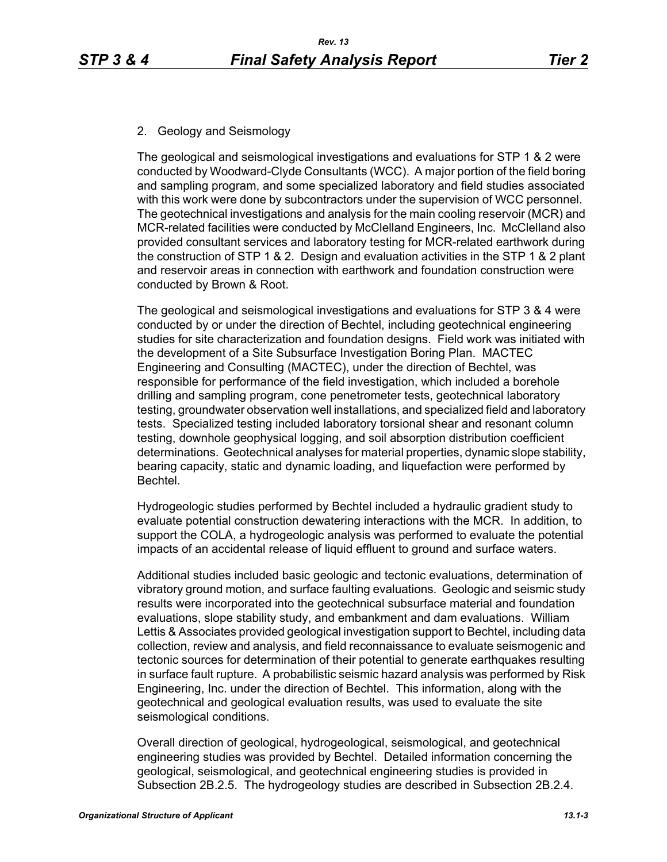# 2. Geology and Seismology

The geological and seismological investigations and evaluations for STP 1 & 2 were conducted by Woodward-Clyde Consultants (WCC). A major portion of the field boring and sampling program, and some specialized laboratory and field studies associated with this work were done by subcontractors under the supervision of WCC personnel. The geotechnical investigations and analysis for the main cooling reservoir (MCR) and MCR-related facilities were conducted by McClelland Engineers, Inc. McClelland also provided consultant services and laboratory testing for MCR-related earthwork during the construction of STP 1 & 2. Design and evaluation activities in the STP 1 & 2 plant and reservoir areas in connection with earthwork and foundation construction were conducted by Brown & Root.

The geological and seismological investigations and evaluations for STP 3 & 4 were conducted by or under the direction of Bechtel, including geotechnical engineering studies for site characterization and foundation designs. Field work was initiated with the development of a Site Subsurface Investigation Boring Plan. MACTEC Engineering and Consulting (MACTEC), under the direction of Bechtel, was responsible for performance of the field investigation, which included a borehole drilling and sampling program, cone penetrometer tests, geotechnical laboratory testing, groundwater observation well installations, and specialized field and laboratory tests. Specialized testing included laboratory torsional shear and resonant column testing, downhole geophysical logging, and soil absorption distribution coefficient determinations. Geotechnical analyses for material properties, dynamic slope stability, bearing capacity, static and dynamic loading, and liquefaction were performed by Bechtel.

Hydrogeologic studies performed by Bechtel included a hydraulic gradient study to evaluate potential construction dewatering interactions with the MCR. In addition, to support the COLA, a hydrogeologic analysis was performed to evaluate the potential impacts of an accidental release of liquid effluent to ground and surface waters.

Additional studies included basic geologic and tectonic evaluations, determination of vibratory ground motion, and surface faulting evaluations. Geologic and seismic study results were incorporated into the geotechnical subsurface material and foundation evaluations, slope stability study, and embankment and dam evaluations. William Lettis & Associates provided geological investigation support to Bechtel, including data collection, review and analysis, and field reconnaissance to evaluate seismogenic and tectonic sources for determination of their potential to generate earthquakes resulting in surface fault rupture. A probabilistic seismic hazard analysis was performed by Risk Engineering, Inc. under the direction of Bechtel. This information, along with the geotechnical and geological evaluation results, was used to evaluate the site seismological conditions.

Overall direction of geological, hydrogeological, seismological, and geotechnical engineering studies was provided by Bechtel. Detailed information concerning the geological, seismological, and geotechnical engineering studies is provided in Subsection 2B.2.5. The hydrogeology studies are described in Subsection 2B.2.4.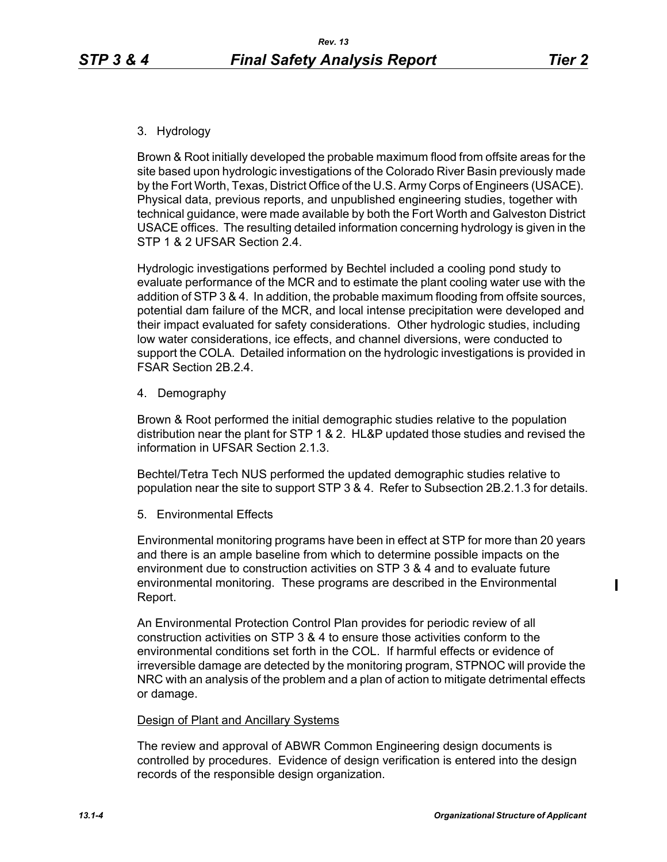ı

# 3. Hydrology

Brown & Root initially developed the probable maximum flood from offsite areas for the site based upon hydrologic investigations of the Colorado River Basin previously made by the Fort Worth, Texas, District Office of the U.S. Army Corps of Engineers (USACE). Physical data, previous reports, and unpublished engineering studies, together with technical guidance, were made available by both the Fort Worth and Galveston District USACE offices. The resulting detailed information concerning hydrology is given in the STP 1 & 2 UFSAR Section 2.4.

Hydrologic investigations performed by Bechtel included a cooling pond study to evaluate performance of the MCR and to estimate the plant cooling water use with the addition of STP 3 & 4. In addition, the probable maximum flooding from offsite sources, potential dam failure of the MCR, and local intense precipitation were developed and their impact evaluated for safety considerations. Other hydrologic studies, including low water considerations, ice effects, and channel diversions, were conducted to support the COLA. Detailed information on the hydrologic investigations is provided in FSAR Section 2B.2.4.

4. Demography

Brown & Root performed the initial demographic studies relative to the population distribution near the plant for STP 1 & 2. HL&P updated those studies and revised the information in UFSAR Section 2.1.3.

Bechtel/Tetra Tech NUS performed the updated demographic studies relative to population near the site to support STP 3 & 4. Refer to Subsection 2B.2.1.3 for details.

5. Environmental Effects

Environmental monitoring programs have been in effect at STP for more than 20 years and there is an ample baseline from which to determine possible impacts on the environment due to construction activities on STP 3 & 4 and to evaluate future environmental monitoring. These programs are described in the Environmental Report.

An Environmental Protection Control Plan provides for periodic review of all construction activities on STP 3 & 4 to ensure those activities conform to the environmental conditions set forth in the COL. If harmful effects or evidence of irreversible damage are detected by the monitoring program, STPNOC will provide the NRC with an analysis of the problem and a plan of action to mitigate detrimental effects or damage.

## Design of Plant and Ancillary Systems

The review and approval of ABWR Common Engineering design documents is controlled by procedures. Evidence of design verification is entered into the design records of the responsible design organization.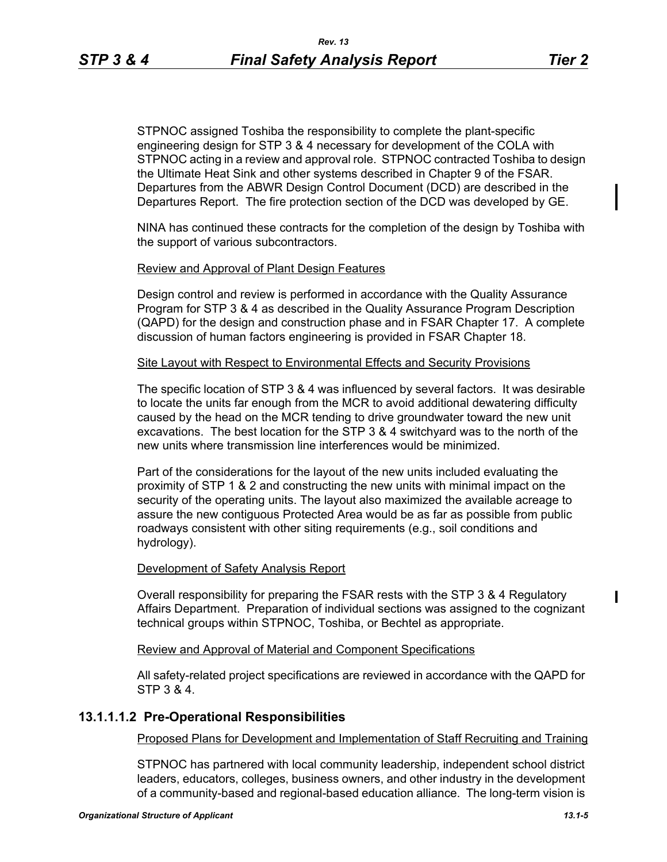STPNOC assigned Toshiba the responsibility to complete the plant-specific engineering design for STP 3 & 4 necessary for development of the COLA with STPNOC acting in a review and approval role. STPNOC contracted Toshiba to design the Ultimate Heat Sink and other systems described in Chapter 9 of the FSAR. Departures from the ABWR Design Control Document (DCD) are described in the Departures Report. The fire protection section of the DCD was developed by GE.

NINA has continued these contracts for the completion of the design by Toshiba with the support of various subcontractors.

### Review and Approval of Plant Design Features

Design control and review is performed in accordance with the Quality Assurance Program for STP 3 & 4 as described in the Quality Assurance Program Description (QAPD) for the design and construction phase and in FSAR Chapter 17. A complete discussion of human factors engineering is provided in FSAR Chapter 18.

#### Site Layout with Respect to Environmental Effects and Security Provisions

The specific location of STP 3 & 4 was influenced by several factors. It was desirable to locate the units far enough from the MCR to avoid additional dewatering difficulty caused by the head on the MCR tending to drive groundwater toward the new unit excavations. The best location for the STP 3 & 4 switchyard was to the north of the new units where transmission line interferences would be minimized.

Part of the considerations for the layout of the new units included evaluating the proximity of STP 1 & 2 and constructing the new units with minimal impact on the security of the operating units. The layout also maximized the available acreage to assure the new contiguous Protected Area would be as far as possible from public roadways consistent with other siting requirements (e.g., soil conditions and hydrology).

### Development of Safety Analysis Report

Overall responsibility for preparing the FSAR rests with the STP 3 & 4 Regulatory Affairs Department. Preparation of individual sections was assigned to the cognizant technical groups within STPNOC, Toshiba, or Bechtel as appropriate.

#### Review and Approval of Material and Component Specifications

All safety-related project specifications are reviewed in accordance with the QAPD for STP 3 & 4.

## **13.1.1.1.2 Pre-Operational Responsibilities**

## Proposed Plans for Development and Implementation of Staff Recruiting and Training

STPNOC has partnered with local community leadership, independent school district leaders, educators, colleges, business owners, and other industry in the development of a community-based and regional-based education alliance. The long-term vision is  $\blacksquare$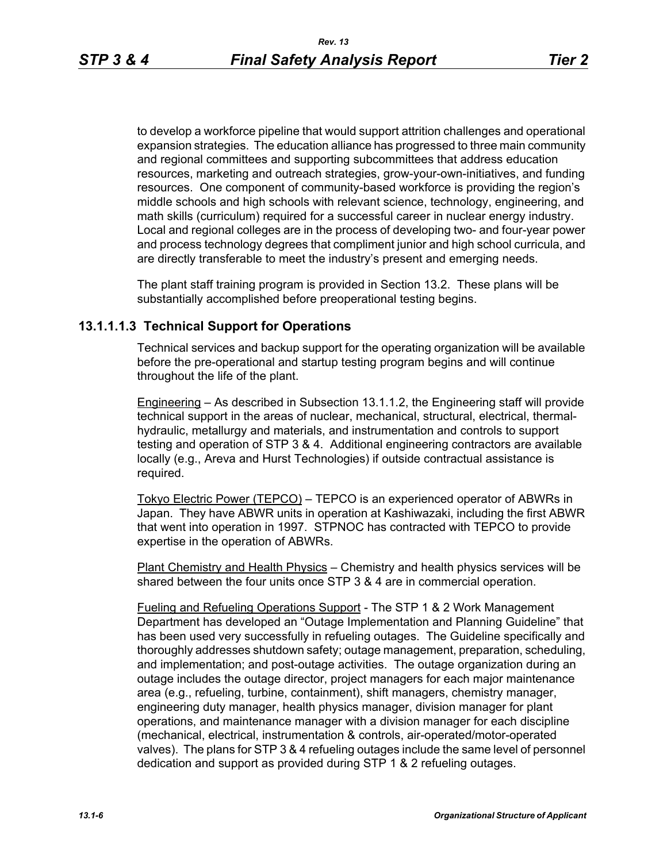to develop a workforce pipeline that would support attrition challenges and operational expansion strategies. The education alliance has progressed to three main community and regional committees and supporting subcommittees that address education resources, marketing and outreach strategies, grow-your-own-initiatives, and funding resources. One component of community-based workforce is providing the region's middle schools and high schools with relevant science, technology, engineering, and math skills (curriculum) required for a successful career in nuclear energy industry. Local and regional colleges are in the process of developing two- and four-year power and process technology degrees that compliment junior and high school curricula, and are directly transferable to meet the industry's present and emerging needs.

The plant staff training program is provided in Section 13.2. These plans will be substantially accomplished before preoperational testing begins.

# **13.1.1.1.3 Technical Support for Operations**

Technical services and backup support for the operating organization will be available before the pre-operational and startup testing program begins and will continue throughout the life of the plant.

Engineering – As described in Subsection 13.1.1.2, the Engineering staff will provide technical support in the areas of nuclear, mechanical, structural, electrical, thermalhydraulic, metallurgy and materials, and instrumentation and controls to support testing and operation of STP 3 & 4. Additional engineering contractors are available locally (e.g., Areva and Hurst Technologies) if outside contractual assistance is required.

Tokyo Electric Power (TEPCO) – TEPCO is an experienced operator of ABWRs in Japan. They have ABWR units in operation at Kashiwazaki, including the first ABWR that went into operation in 1997. STPNOC has contracted with TEPCO to provide expertise in the operation of ABWRs.

Plant Chemistry and Health Physics – Chemistry and health physics services will be shared between the four units once STP 3 & 4 are in commercial operation.

Fueling and Refueling Operations Support - The STP 1 & 2 Work Management Department has developed an "Outage Implementation and Planning Guideline" that has been used very successfully in refueling outages. The Guideline specifically and thoroughly addresses shutdown safety; outage management, preparation, scheduling, and implementation; and post-outage activities. The outage organization during an outage includes the outage director, project managers for each major maintenance area (e.g., refueling, turbine, containment), shift managers, chemistry manager, engineering duty manager, health physics manager, division manager for plant operations, and maintenance manager with a division manager for each discipline (mechanical, electrical, instrumentation & controls, air-operated/motor-operated valves). The plans for STP 3 & 4 refueling outages include the same level of personnel dedication and support as provided during STP 1 & 2 refueling outages.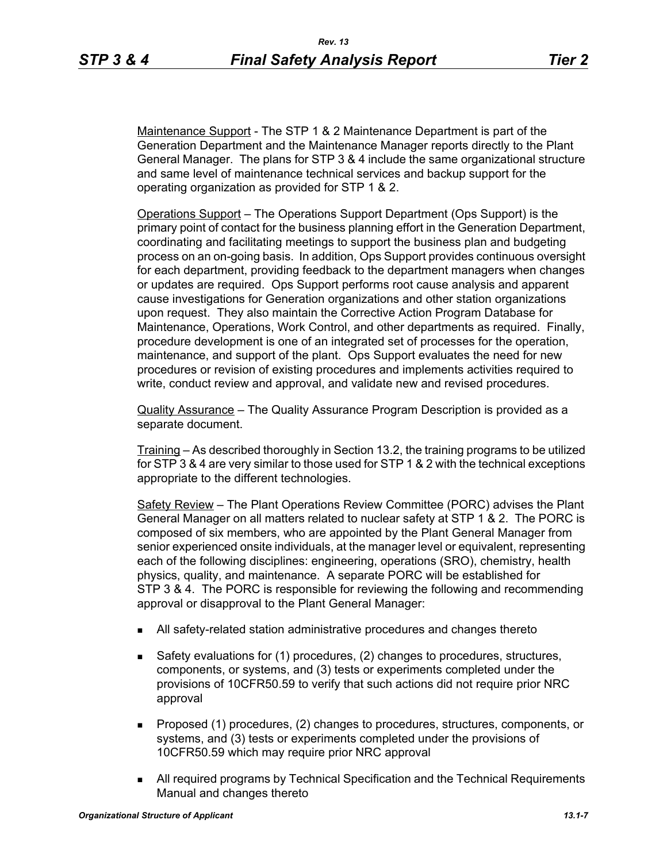Maintenance Support - The STP 1 & 2 Maintenance Department is part of the Generation Department and the Maintenance Manager reports directly to the Plant General Manager. The plans for STP 3 & 4 include the same organizational structure and same level of maintenance technical services and backup support for the operating organization as provided for STP 1 & 2.

Operations Support – The Operations Support Department (Ops Support) is the primary point of contact for the business planning effort in the Generation Department, coordinating and facilitating meetings to support the business plan and budgeting process on an on-going basis. In addition, Ops Support provides continuous oversight for each department, providing feedback to the department managers when changes or updates are required. Ops Support performs root cause analysis and apparent cause investigations for Generation organizations and other station organizations upon request. They also maintain the Corrective Action Program Database for Maintenance, Operations, Work Control, and other departments as required. Finally, procedure development is one of an integrated set of processes for the operation, maintenance, and support of the plant. Ops Support evaluates the need for new procedures or revision of existing procedures and implements activities required to write, conduct review and approval, and validate new and revised procedures.

Quality Assurance – The Quality Assurance Program Description is provided as a separate document.

Training – As described thoroughly in Section 13.2, the training programs to be utilized for STP 3 & 4 are very similar to those used for STP 1 & 2 with the technical exceptions appropriate to the different technologies.

Safety Review – The Plant Operations Review Committee (PORC) advises the Plant General Manager on all matters related to nuclear safety at STP 1 & 2. The PORC is composed of six members, who are appointed by the Plant General Manager from senior experienced onsite individuals, at the manager level or equivalent, representing each of the following disciplines: engineering, operations (SRO), chemistry, health physics, quality, and maintenance. A separate PORC will be established for STP 3 & 4. The PORC is responsible for reviewing the following and recommending approval or disapproval to the Plant General Manager:

- All safety-related station administrative procedures and changes thereto
- Safety evaluations for (1) procedures, (2) changes to procedures, structures, components, or systems, and (3) tests or experiments completed under the provisions of 10CFR50.59 to verify that such actions did not require prior NRC approval
- **Proposed (1) procedures, (2) changes to procedures, structures, components, or** systems, and (3) tests or experiments completed under the provisions of 10CFR50.59 which may require prior NRC approval
- All required programs by Technical Specification and the Technical Requirements Manual and changes thereto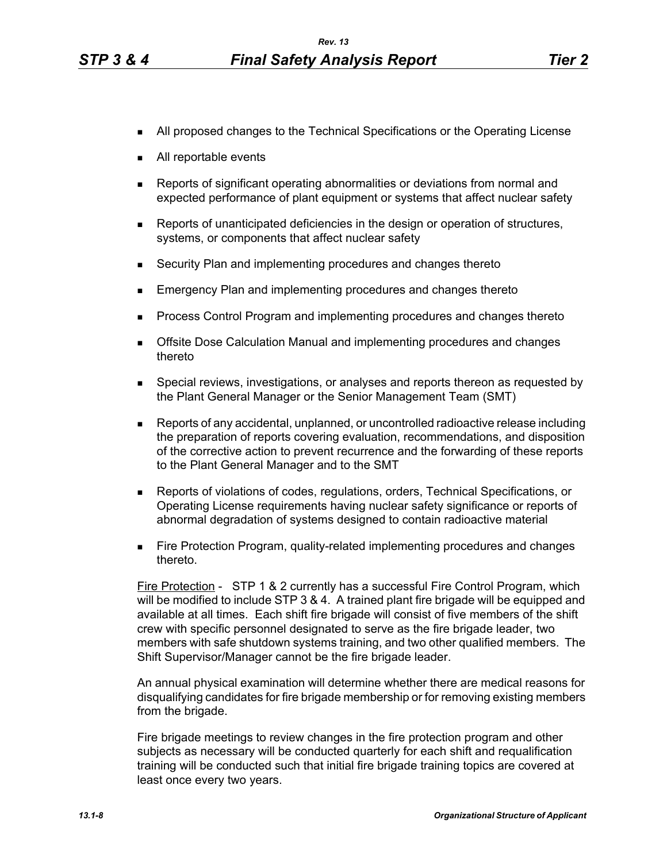- **All proposed changes to the Technical Specifications or the Operating License**
- All reportable events
- Reports of significant operating abnormalities or deviations from normal and expected performance of plant equipment or systems that affect nuclear safety
- **Reports of unanticipated deficiencies in the design or operation of structures,** systems, or components that affect nuclear safety
- Security Plan and implementing procedures and changes thereto
- **Emergency Plan and implementing procedures and changes thereto**
- **Process Control Program and implementing procedures and changes thereto**
- **The Offsite Dose Calculation Manual and implementing procedures and changes** thereto
- **Special reviews, investigations, or analyses and reports thereon as requested by** the Plant General Manager or the Senior Management Team (SMT)
- Reports of any accidental, unplanned, or uncontrolled radioactive release including the preparation of reports covering evaluation, recommendations, and disposition of the corrective action to prevent recurrence and the forwarding of these reports to the Plant General Manager and to the SMT
- Reports of violations of codes, regulations, orders, Technical Specifications, or Operating License requirements having nuclear safety significance or reports of abnormal degradation of systems designed to contain radioactive material
- **Fire Protection Program, quality-related implementing procedures and changes** thereto.

Fire Protection - STP 1 & 2 currently has a successful Fire Control Program, which will be modified to include STP 3 & 4. A trained plant fire brigade will be equipped and available at all times. Each shift fire brigade will consist of five members of the shift crew with specific personnel designated to serve as the fire brigade leader, two members with safe shutdown systems training, and two other qualified members. The Shift Supervisor/Manager cannot be the fire brigade leader.

An annual physical examination will determine whether there are medical reasons for disqualifying candidates for fire brigade membership or for removing existing members from the brigade.

Fire brigade meetings to review changes in the fire protection program and other subjects as necessary will be conducted quarterly for each shift and requalification training will be conducted such that initial fire brigade training topics are covered at least once every two years.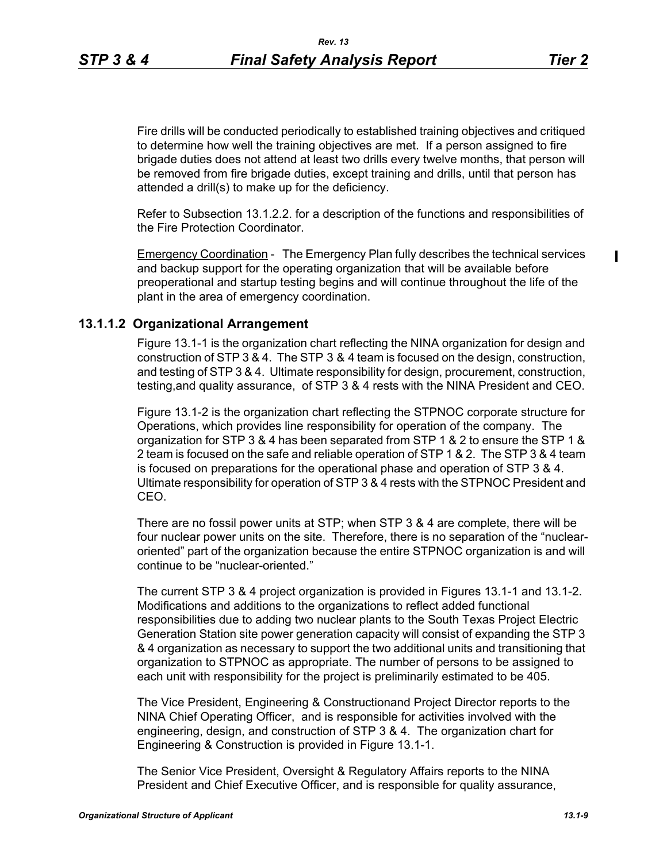Fire drills will be conducted periodically to established training objectives and critiqued to determine how well the training objectives are met. If a person assigned to fire brigade duties does not attend at least two drills every twelve months, that person will be removed from fire brigade duties, except training and drills, until that person has attended a drill(s) to make up for the deficiency.

Refer to Subsection 13.1.2.2. for a description of the functions and responsibilities of the Fire Protection Coordinator.

Emergency Coordination - The Emergency Plan fully describes the technical services and backup support for the operating organization that will be available before preoperational and startup testing begins and will continue throughout the life of the plant in the area of emergency coordination.

## **13.1.1.2 Organizational Arrangement**

Figure 13.1-1 is the organization chart reflecting the NINA organization for design and construction of STP 3 & 4. The STP 3 & 4 team is focused on the design, construction, and testing of STP 3 & 4. Ultimate responsibility for design, procurement, construction, testing,and quality assurance, of STP 3 & 4 rests with the NINA President and CEO.

Figure 13.1-2 is the organization chart reflecting the STPNOC corporate structure for Operations, which provides line responsibility for operation of the company. The organization for STP 3 & 4 has been separated from STP 1 & 2 to ensure the STP 1 & 2 team is focused on the safe and reliable operation of STP 1 & 2. The STP 3 & 4 team is focused on preparations for the operational phase and operation of STP 3 & 4. Ultimate responsibility for operation of STP 3 & 4 rests with the STPNOC President and CEO.

There are no fossil power units at STP; when STP 3 & 4 are complete, there will be four nuclear power units on the site. Therefore, there is no separation of the "nuclearoriented" part of the organization because the entire STPNOC organization is and will continue to be "nuclear-oriented."

The current STP 3 & 4 project organization is provided in Figures 13.1-1 and 13.1-2. Modifications and additions to the organizations to reflect added functional responsibilities due to adding two nuclear plants to the South Texas Project Electric Generation Station site power generation capacity will consist of expanding the STP 3 & 4 organization as necessary to support the two additional units and transitioning that organization to STPNOC as appropriate. The number of persons to be assigned to each unit with responsibility for the project is preliminarily estimated to be 405.

The Vice President, Engineering & Constructionand Project Director reports to the NINA Chief Operating Officer, and is responsible for activities involved with the engineering, design, and construction of STP 3 & 4. The organization chart for Engineering & Construction is provided in Figure 13.1-1.

The Senior Vice President, Oversight & Regulatory Affairs reports to the NINA President and Chief Executive Officer, and is responsible for quality assurance,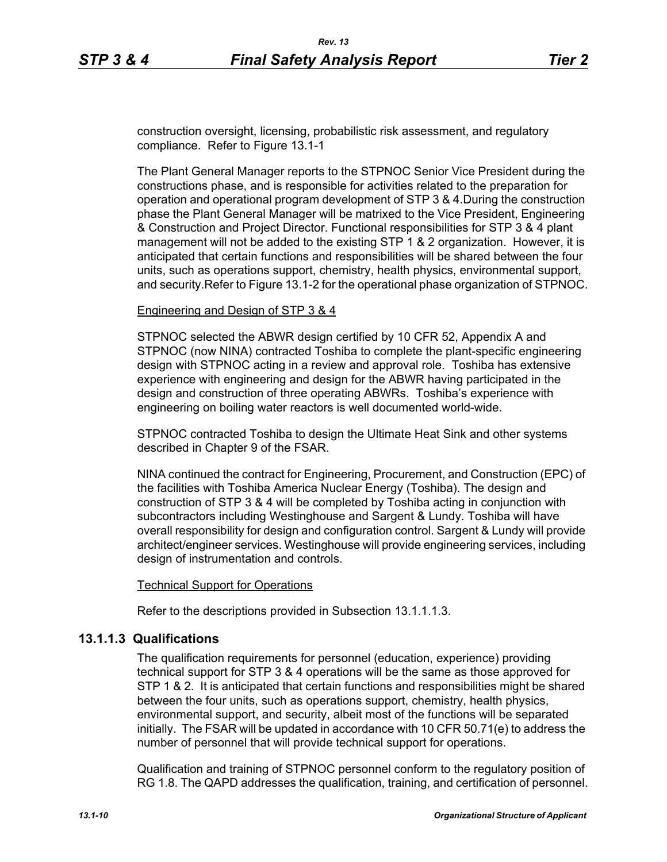construction oversight, licensing, probabilistic risk assessment, and regulatory compliance. Refer to Figure 13.1-1

The Plant General Manager reports to the STPNOC Senior Vice President during the constructions phase, and is responsible for activities related to the preparation for operation and operational program development of STP 3 & 4.During the construction phase the Plant General Manager will be matrixed to the Vice President, Engineering & Construction and Project Director. Functional responsibilities for STP 3 & 4 plant management will not be added to the existing STP 1 & 2 organization. However, it is anticipated that certain functions and responsibilities will be shared between the four units, such as operations support, chemistry, health physics, environmental support, and security.Refer to Figure 13.1-2 for the operational phase organization of STPNOC.

## Engineering and Design of STP 3 & 4

STPNOC selected the ABWR design certified by 10 CFR 52, Appendix A and STPNOC (now NINA) contracted Toshiba to complete the plant-specific engineering design with STPNOC acting in a review and approval role. Toshiba has extensive experience with engineering and design for the ABWR having participated in the design and construction of three operating ABWRs. Toshiba's experience with engineering on boiling water reactors is well documented world-wide.

STPNOC contracted Toshiba to design the Ultimate Heat Sink and other systems described in Chapter 9 of the FSAR.

NINA continued the contract for Engineering, Procurement, and Construction (EPC) of the facilities with Toshiba America Nuclear Energy (Toshiba). The design and construction of STP 3 & 4 will be completed by Toshiba acting in conjunction with subcontractors including Westinghouse and Sargent & Lundy. Toshiba will have overall responsibility for design and configuration control. Sargent & Lundy will provide architect/engineer services. Westinghouse will provide engineering services, including design of instrumentation and controls.

## Technical Support for Operations

Refer to the descriptions provided in Subsection 13.1.1.1.3.

# **13.1.1.3 Qualifications**

The qualification requirements for personnel (education, experience) providing technical support for STP 3 & 4 operations will be the same as those approved for STP 1 & 2. It is anticipated that certain functions and responsibilities might be shared between the four units, such as operations support, chemistry, health physics, environmental support, and security, albeit most of the functions will be separated initially. The FSAR will be updated in accordance with 10 CFR 50.71(e) to address the number of personnel that will provide technical support for operations.

Qualification and training of STPNOC personnel conform to the regulatory position of RG 1.8. The QAPD addresses the qualification, training, and certification of personnel.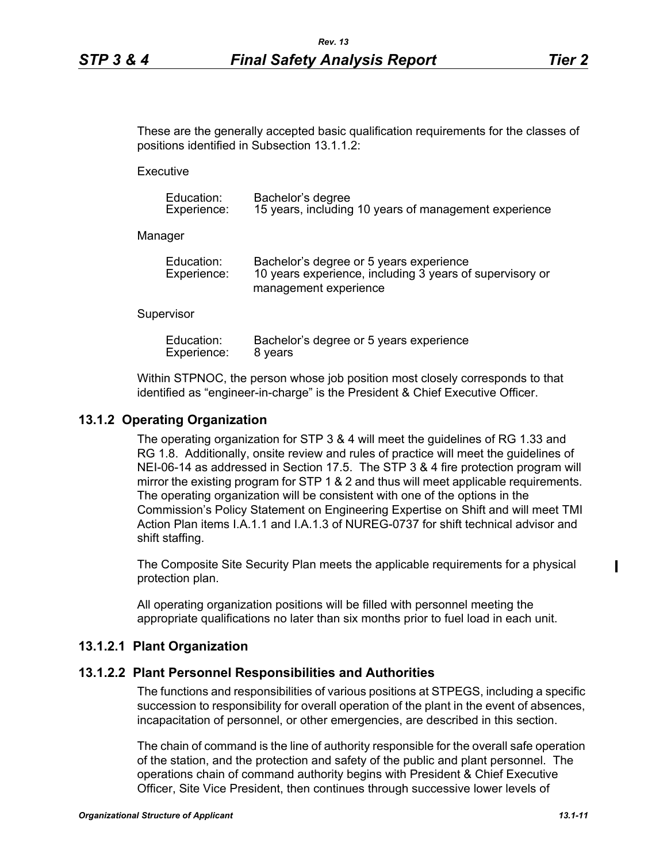These are the generally accepted basic qualification requirements for the classes of positions identified in Subsection 13.1.1.2:

**Executive** 

| Education:  | Bachelor's degree                                     |
|-------------|-------------------------------------------------------|
| Experience: | 15 years, including 10 years of management experience |

Manager

| Education:  | Bachelor's degree or 5 years experience                  |
|-------------|----------------------------------------------------------|
| Experience: | 10 years experience, including 3 years of supervisory or |
|             | management experience                                    |

#### **Supervisor**

| Education:  | Bachelor's degree or 5 years experience |
|-------------|-----------------------------------------|
| Experience: | 8 years                                 |

Within STPNOC, the person whose job position most closely corresponds to that identified as "engineer-in-charge" is the President & Chief Executive Officer.

## **13.1.2 Operating Organization**

The operating organization for STP 3 & 4 will meet the guidelines of RG 1.33 and RG 1.8. Additionally, onsite review and rules of practice will meet the guidelines of NEI-06-14 as addressed in Section 17.5. The STP 3 & 4 fire protection program will mirror the existing program for STP 1 & 2 and thus will meet applicable requirements. The operating organization will be consistent with one of the options in the Commission's Policy Statement on Engineering Expertise on Shift and will meet TMI Action Plan items I.A.1.1 and I.A.1.3 of NUREG-0737 for shift technical advisor and shift staffing.

The Composite Site Security Plan meets the applicable requirements for a physical protection plan.

All operating organization positions will be filled with personnel meeting the appropriate qualifications no later than six months prior to fuel load in each unit.

## **13.1.2.1 Plant Organization**

## **13.1.2.2 Plant Personnel Responsibilities and Authorities**

The functions and responsibilities of various positions at STPEGS, including a specific succession to responsibility for overall operation of the plant in the event of absences, incapacitation of personnel, or other emergencies, are described in this section.

The chain of command is the line of authority responsible for the overall safe operation of the station, and the protection and safety of the public and plant personnel. The operations chain of command authority begins with President & Chief Executive Officer, Site Vice President, then continues through successive lower levels of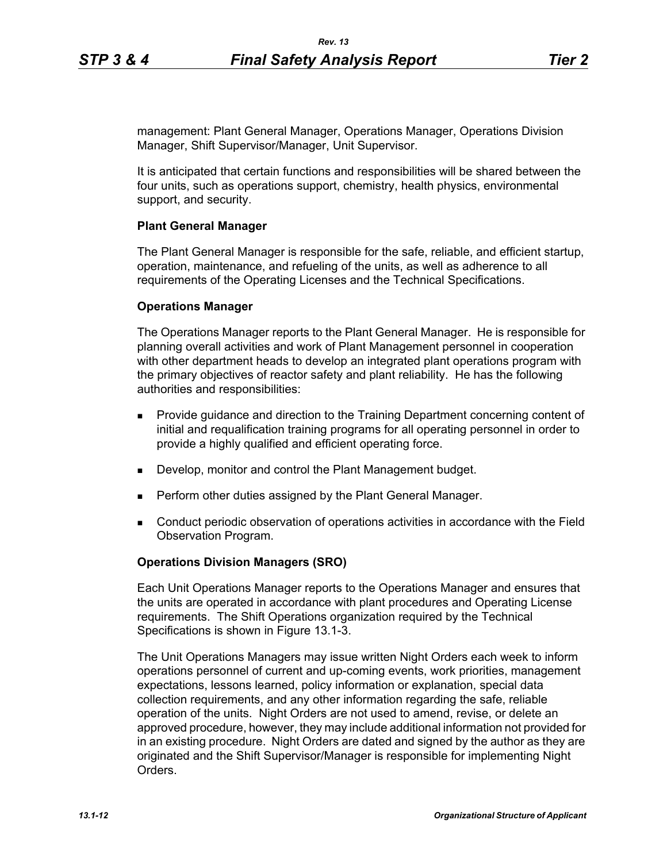management: Plant General Manager, Operations Manager, Operations Division Manager, Shift Supervisor/Manager, Unit Supervisor.

It is anticipated that certain functions and responsibilities will be shared between the four units, such as operations support, chemistry, health physics, environmental support, and security.

## **Plant General Manager**

The Plant General Manager is responsible for the safe, reliable, and efficient startup, operation, maintenance, and refueling of the units, as well as adherence to all requirements of the Operating Licenses and the Technical Specifications.

### **Operations Manager**

The Operations Manager reports to the Plant General Manager. He is responsible for planning overall activities and work of Plant Management personnel in cooperation with other department heads to develop an integrated plant operations program with the primary objectives of reactor safety and plant reliability. He has the following authorities and responsibilities:

- **Provide guidance and direction to the Training Department concerning content of** initial and requalification training programs for all operating personnel in order to provide a highly qualified and efficient operating force.
- Develop, monitor and control the Plant Management budget.
- Perform other duties assigned by the Plant General Manager.
- Conduct periodic observation of operations activities in accordance with the Field Observation Program.

### **Operations Division Managers (SRO)**

Each Unit Operations Manager reports to the Operations Manager and ensures that the units are operated in accordance with plant procedures and Operating License requirements. The Shift Operations organization required by the Technical Specifications is shown in Figure 13.1-3.

The Unit Operations Managers may issue written Night Orders each week to inform operations personnel of current and up-coming events, work priorities, management expectations, lessons learned, policy information or explanation, special data collection requirements, and any other information regarding the safe, reliable operation of the units. Night Orders are not used to amend, revise, or delete an approved procedure, however, they may include additional information not provided for in an existing procedure. Night Orders are dated and signed by the author as they are originated and the Shift Supervisor/Manager is responsible for implementing Night **Orders**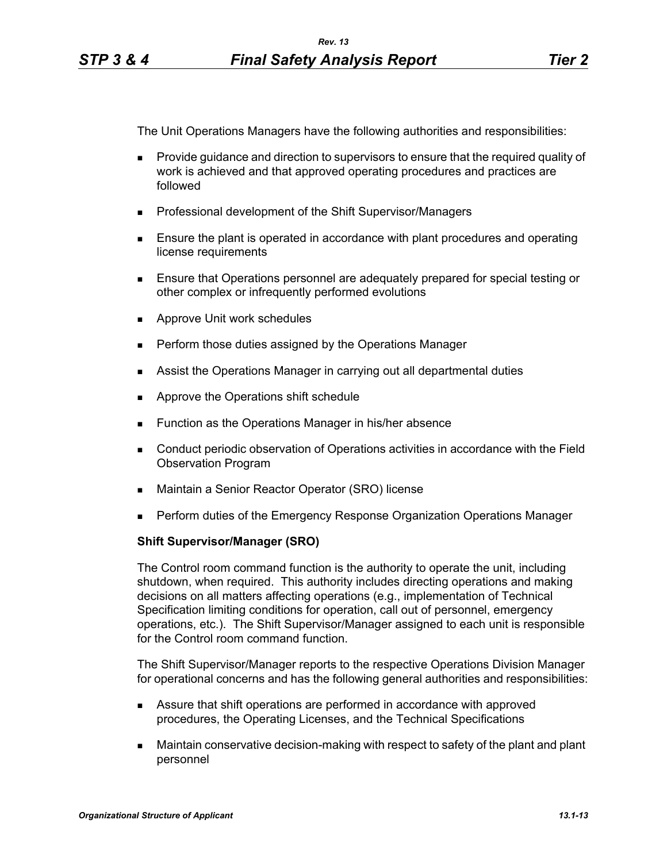The Unit Operations Managers have the following authorities and responsibilities:

- **Provide guidance and direction to supervisors to ensure that the required quality of** work is achieved and that approved operating procedures and practices are followed
- **Professional development of the Shift Supervisor/Managers**
- **Ensure the plant is operated in accordance with plant procedures and operating** license requirements
- Ensure that Operations personnel are adequately prepared for special testing or other complex or infrequently performed evolutions
- **Approve Unit work schedules**
- **Perform those duties assigned by the Operations Manager**
- Assist the Operations Manager in carrying out all departmental duties
- **Approve the Operations shift schedule**
- **Function as the Operations Manager in his/her absence**
- Conduct periodic observation of Operations activities in accordance with the Field Observation Program
- Maintain a Senior Reactor Operator (SRO) license
- **Perform duties of the Emergency Response Organization Operations Manager**

# **Shift Supervisor/Manager (SRO)**

The Control room command function is the authority to operate the unit, including shutdown, when required. This authority includes directing operations and making decisions on all matters affecting operations (e.g., implementation of Technical Specification limiting conditions for operation, call out of personnel, emergency operations, etc.). The Shift Supervisor/Manager assigned to each unit is responsible for the Control room command function.

The Shift Supervisor/Manager reports to the respective Operations Division Manager for operational concerns and has the following general authorities and responsibilities:

- Assure that shift operations are performed in accordance with approved procedures, the Operating Licenses, and the Technical Specifications
- Maintain conservative decision-making with respect to safety of the plant and plant personnel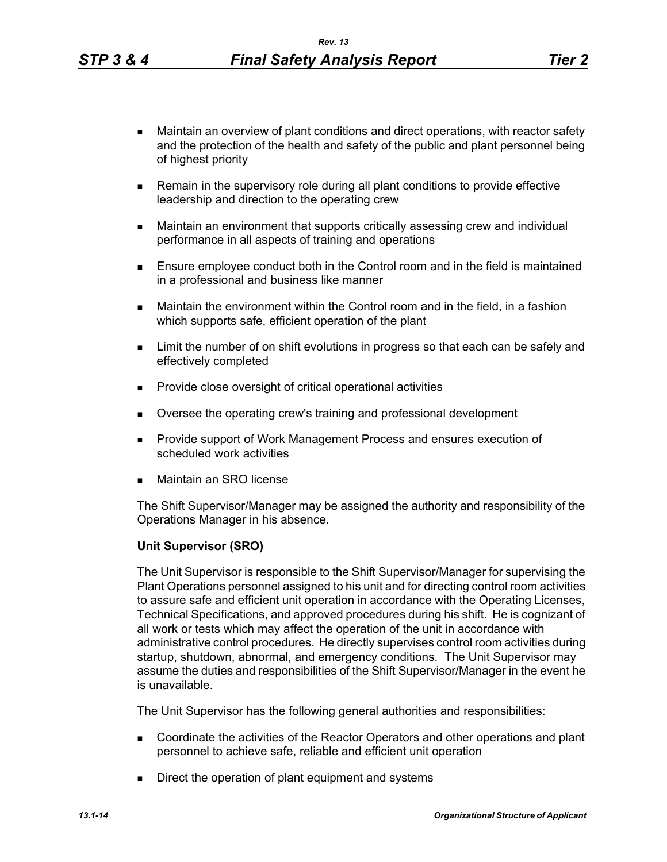- Maintain an overview of plant conditions and direct operations, with reactor safety and the protection of the health and safety of the public and plant personnel being of highest priority
- **Remain in the supervisory role during all plant conditions to provide effective** leadership and direction to the operating crew
- Maintain an environment that supports critically assessing crew and individual performance in all aspects of training and operations
- **Ensure employee conduct both in the Control room and in the field is maintained** in a professional and business like manner
- Maintain the environment within the Control room and in the field, in a fashion which supports safe, efficient operation of the plant
- **EXECT** Limit the number of on shift evolutions in progress so that each can be safely and effectively completed
- **Provide close oversight of critical operational activities**
- **Diversee the operating crew's training and professional development**
- **Provide support of Work Management Process and ensures execution of** scheduled work activities
- Maintain an SRO license

The Shift Supervisor/Manager may be assigned the authority and responsibility of the Operations Manager in his absence.

### **Unit Supervisor (SRO)**

The Unit Supervisor is responsible to the Shift Supervisor/Manager for supervising the Plant Operations personnel assigned to his unit and for directing control room activities to assure safe and efficient unit operation in accordance with the Operating Licenses, Technical Specifications, and approved procedures during his shift. He is cognizant of all work or tests which may affect the operation of the unit in accordance with administrative control procedures. He directly supervises control room activities during startup, shutdown, abnormal, and emergency conditions. The Unit Supervisor may assume the duties and responsibilities of the Shift Supervisor/Manager in the event he is unavailable.

The Unit Supervisor has the following general authorities and responsibilities:

- Coordinate the activities of the Reactor Operators and other operations and plant personnel to achieve safe, reliable and efficient unit operation
- Direct the operation of plant equipment and systems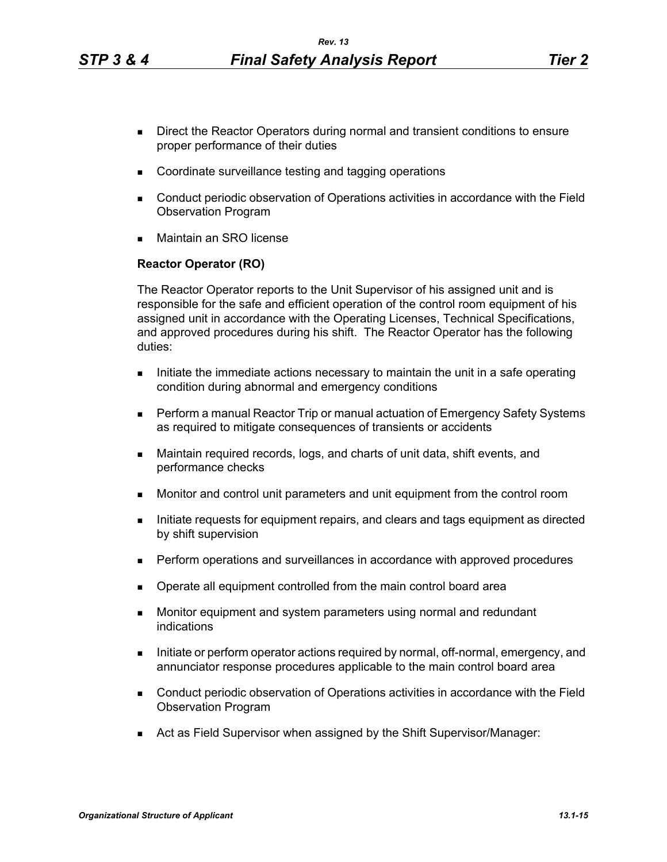- **Direct the Reactor Operators during normal and transient conditions to ensure** proper performance of their duties
- Coordinate surveillance testing and tagging operations
- Conduct periodic observation of Operations activities in accordance with the Field Observation Program
- Maintain an SRO license

## **Reactor Operator (RO)**

The Reactor Operator reports to the Unit Supervisor of his assigned unit and is responsible for the safe and efficient operation of the control room equipment of his assigned unit in accordance with the Operating Licenses, Technical Specifications, and approved procedures during his shift. The Reactor Operator has the following duties:

- Initiate the immediate actions necessary to maintain the unit in a safe operating condition during abnormal and emergency conditions
- **Perform a manual Reactor Trip or manual actuation of Emergency Safety Systems** as required to mitigate consequences of transients or accidents
- Maintain required records, logs, and charts of unit data, shift events, and performance checks
- Monitor and control unit parameters and unit equipment from the control room
- Initiate requests for equipment repairs, and clears and tags equipment as directed by shift supervision
- **Perform operations and surveillances in accordance with approved procedures**
- **Dearate all equipment controlled from the main control board area**
- **Monitor equipment and system parameters using normal and redundant** indications
- Initiate or perform operator actions required by normal, off-normal, emergency, and annunciator response procedures applicable to the main control board area
- Conduct periodic observation of Operations activities in accordance with the Field Observation Program
- Act as Field Supervisor when assigned by the Shift Supervisor/Manager: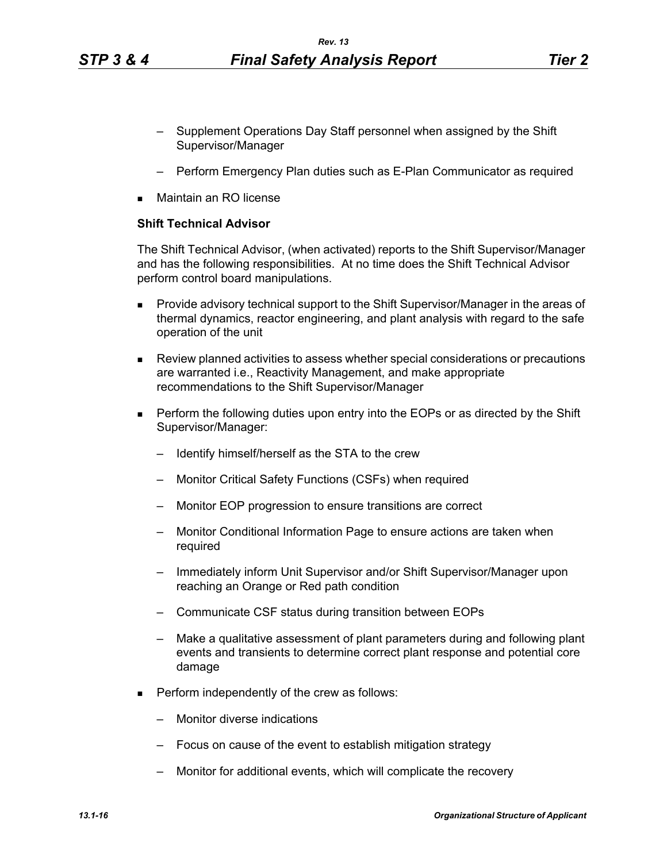- Supplement Operations Day Staff personnel when assigned by the Shift Supervisor/Manager
- Perform Emergency Plan duties such as E-Plan Communicator as required
- Maintain an RO license

# **Shift Technical Advisor**

The Shift Technical Advisor, (when activated) reports to the Shift Supervisor/Manager and has the following responsibilities. At no time does the Shift Technical Advisor perform control board manipulations.

- **Provide advisory technical support to the Shift Supervisor/Manager in the areas of** thermal dynamics, reactor engineering, and plant analysis with regard to the safe operation of the unit
- Review planned activities to assess whether special considerations or precautions are warranted i.e., Reactivity Management, and make appropriate recommendations to the Shift Supervisor/Manager
- **Perform the following duties upon entry into the EOPs or as directed by the Shift** Supervisor/Manager:
	- Identify himself/herself as the STA to the crew
	- Monitor Critical Safety Functions (CSFs) when required
	- Monitor EOP progression to ensure transitions are correct
	- Monitor Conditional Information Page to ensure actions are taken when required
	- Immediately inform Unit Supervisor and/or Shift Supervisor/Manager upon reaching an Orange or Red path condition
	- Communicate CSF status during transition between EOPs
	- Make a qualitative assessment of plant parameters during and following plant events and transients to determine correct plant response and potential core damage
- $\blacksquare$  Perform independently of the crew as follows:
	- Monitor diverse indications
	- Focus on cause of the event to establish mitigation strategy
	- Monitor for additional events, which will complicate the recovery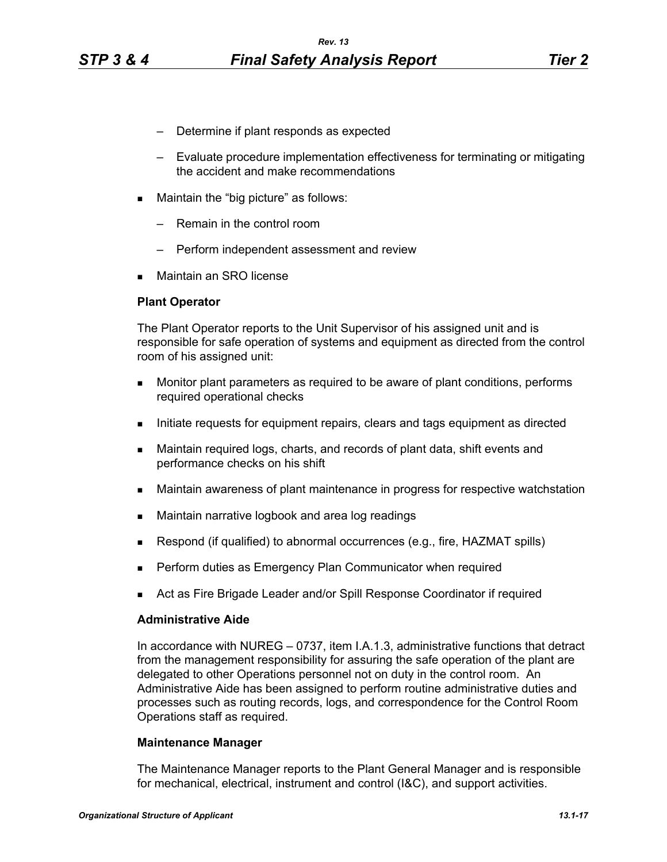- Determine if plant responds as expected
- Evaluate procedure implementation effectiveness for terminating or mitigating the accident and make recommendations
- **Maintain the "big picture" as follows:** 
	- Remain in the control room
	- Perform independent assessment and review
- Maintain an SRO license

## **Plant Operator**

The Plant Operator reports to the Unit Supervisor of his assigned unit and is responsible for safe operation of systems and equipment as directed from the control room of his assigned unit:

- **Monitor plant parameters as required to be aware of plant conditions, performs** required operational checks
- Initiate requests for equipment repairs, clears and tags equipment as directed
- Maintain required logs, charts, and records of plant data, shift events and performance checks on his shift
- Maintain awareness of plant maintenance in progress for respective watchstation
- **Maintain narrative logbook and area log readings**
- **Respond (if qualified) to abnormal occurrences (e.g., fire, HAZMAT spills)**
- **Perform duties as Emergency Plan Communicator when required**
- Act as Fire Brigade Leader and/or Spill Response Coordinator if required

## **Administrative Aide**

In accordance with NUREG – 0737, item I.A.1.3, administrative functions that detract from the management responsibility for assuring the safe operation of the plant are delegated to other Operations personnel not on duty in the control room. An Administrative Aide has been assigned to perform routine administrative duties and processes such as routing records, logs, and correspondence for the Control Room Operations staff as required.

## **Maintenance Manager**

The Maintenance Manager reports to the Plant General Manager and is responsible for mechanical, electrical, instrument and control (I&C), and support activities.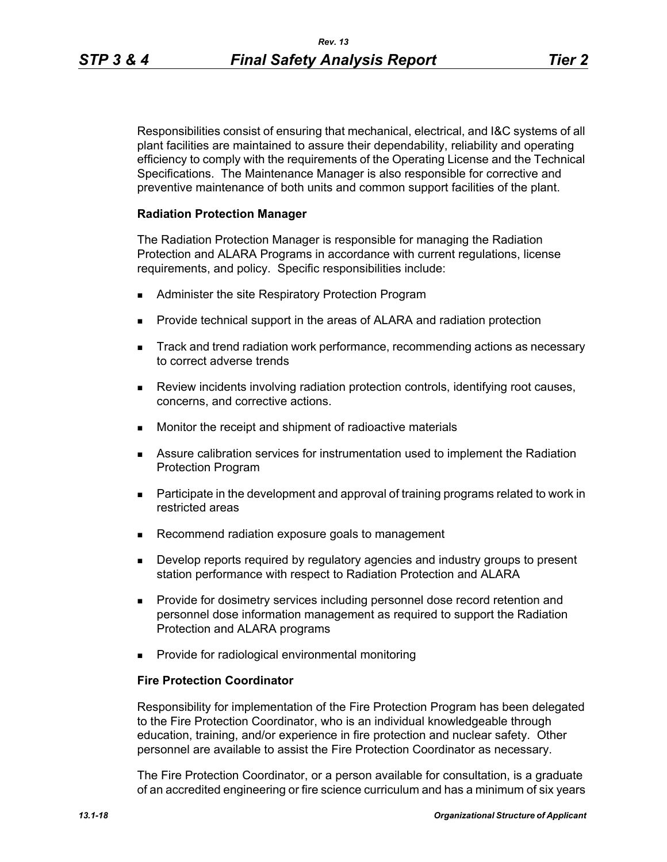Responsibilities consist of ensuring that mechanical, electrical, and I&C systems of all plant facilities are maintained to assure their dependability, reliability and operating efficiency to comply with the requirements of the Operating License and the Technical Specifications. The Maintenance Manager is also responsible for corrective and preventive maintenance of both units and common support facilities of the plant.

## **Radiation Protection Manager**

The Radiation Protection Manager is responsible for managing the Radiation Protection and ALARA Programs in accordance with current regulations, license requirements, and policy. Specific responsibilities include:

- **Administer the site Respiratory Protection Program**
- **Provide technical support in the areas of ALARA and radiation protection**
- **Track and trend radiation work performance, recommending actions as necessary** to correct adverse trends
- Review incidents involving radiation protection controls, identifying root causes, concerns, and corrective actions.
- **Monitor the receipt and shipment of radioactive materials**
- Assure calibration services for instrumentation used to implement the Radiation Protection Program
- **Participate in the development and approval of training programs related to work in** restricted areas
- Recommend radiation exposure goals to management
- **Develop reports required by regulatory agencies and industry groups to present** station performance with respect to Radiation Protection and ALARA
- **Provide for dosimetry services including personnel dose record retention and** personnel dose information management as required to support the Radiation Protection and ALARA programs
- **Provide for radiological environmental monitoring**

## **Fire Protection Coordinator**

Responsibility for implementation of the Fire Protection Program has been delegated to the Fire Protection Coordinator, who is an individual knowledgeable through education, training, and/or experience in fire protection and nuclear safety. Other personnel are available to assist the Fire Protection Coordinator as necessary.

The Fire Protection Coordinator, or a person available for consultation, is a graduate of an accredited engineering or fire science curriculum and has a minimum of six years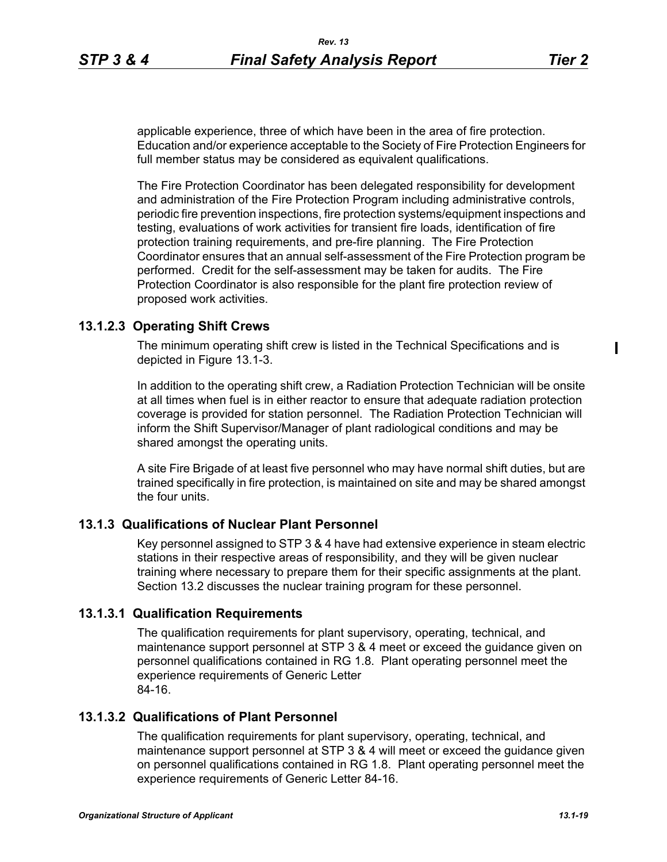applicable experience, three of which have been in the area of fire protection. Education and/or experience acceptable to the Society of Fire Protection Engineers for full member status may be considered as equivalent qualifications.

The Fire Protection Coordinator has been delegated responsibility for development and administration of the Fire Protection Program including administrative controls, periodic fire prevention inspections, fire protection systems/equipment inspections and testing, evaluations of work activities for transient fire loads, identification of fire protection training requirements, and pre-fire planning. The Fire Protection Coordinator ensures that an annual self-assessment of the Fire Protection program be performed. Credit for the self-assessment may be taken for audits. The Fire Protection Coordinator is also responsible for the plant fire protection review of proposed work activities.

# **13.1.2.3 Operating Shift Crews**

The minimum operating shift crew is listed in the Technical Specifications and is depicted in Figure 13.1-3.

In addition to the operating shift crew, a Radiation Protection Technician will be onsite at all times when fuel is in either reactor to ensure that adequate radiation protection coverage is provided for station personnel. The Radiation Protection Technician will inform the Shift Supervisor/Manager of plant radiological conditions and may be shared amongst the operating units.

A site Fire Brigade of at least five personnel who may have normal shift duties, but are trained specifically in fire protection, is maintained on site and may be shared amongst the four units.

# **13.1.3 Qualifications of Nuclear Plant Personnel**

Key personnel assigned to STP 3 & 4 have had extensive experience in steam electric stations in their respective areas of responsibility, and they will be given nuclear training where necessary to prepare them for their specific assignments at the plant. Section 13.2 discusses the nuclear training program for these personnel.

# **13.1.3.1 Qualification Requirements**

The qualification requirements for plant supervisory, operating, technical, and maintenance support personnel at STP 3 & 4 meet or exceed the guidance given on personnel qualifications contained in RG 1.8. Plant operating personnel meet the experience requirements of Generic Letter 84-16.

# **13.1.3.2 Qualifications of Plant Personnel**

The qualification requirements for plant supervisory, operating, technical, and maintenance support personnel at STP 3 & 4 will meet or exceed the guidance given on personnel qualifications contained in RG 1.8. Plant operating personnel meet the experience requirements of Generic Letter 84-16.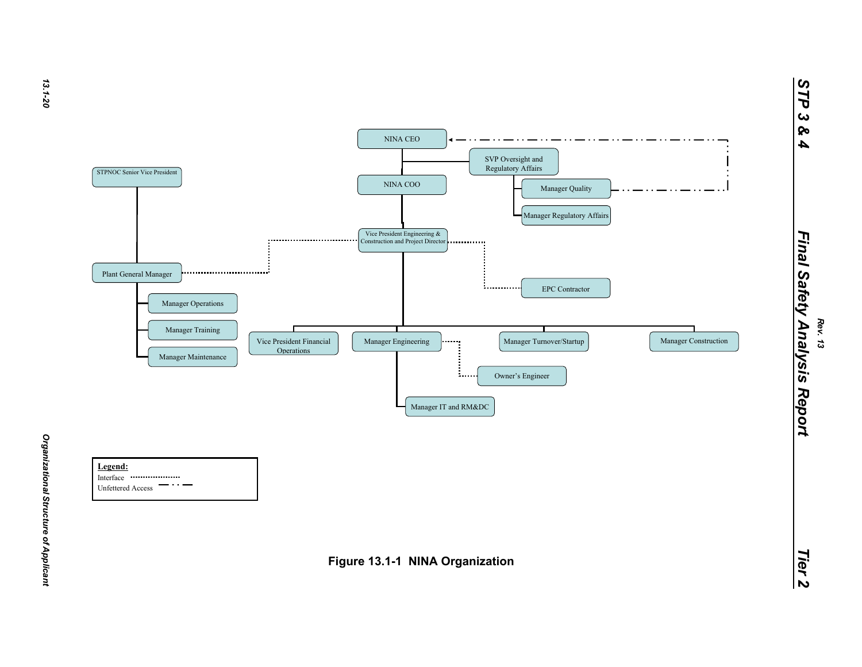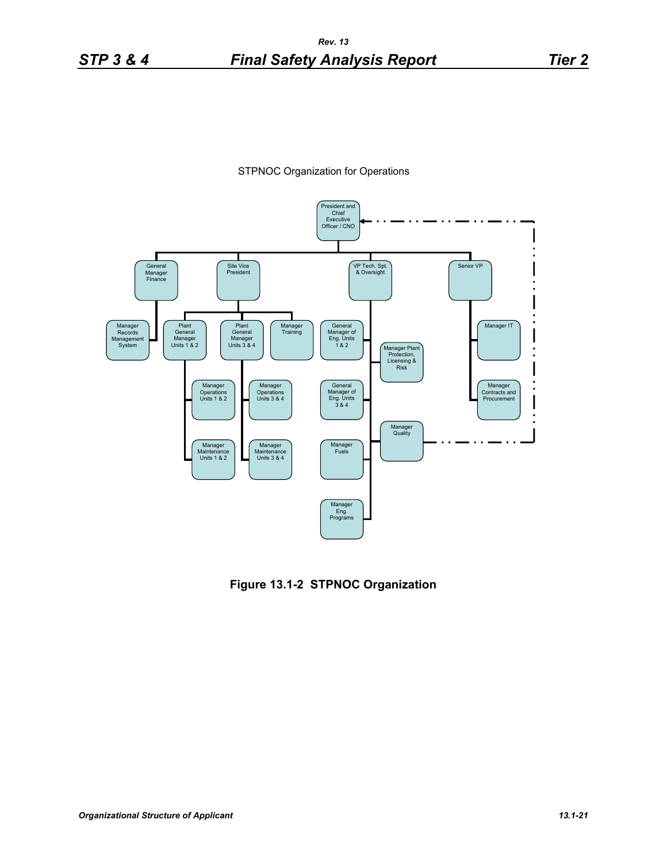



**Figure 13.1-2 STPNOC Organization**